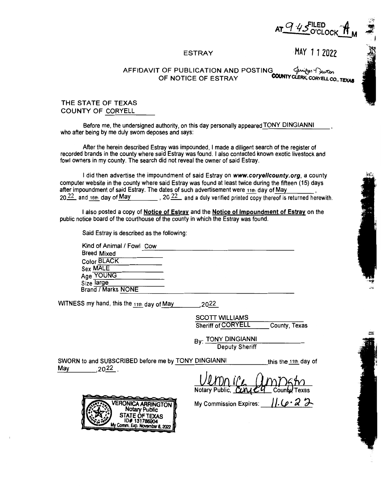

#### ESTRAY

MAY 11 2022

### AFFIDAVIT OF PUBLICATION AND POSTING  $\mathcal{G}^{\text{trid}}$   $\mathcal{G}^{\text{trid}}$   $\mathcal{G}^{\text{trid}}$  of notice of estray **COUNTY CLERK, CORYELL CO., TEXAS**

### THE STATE OF TEXAS COUNTY OF CORYELL

Before me, the undersigned authority, on this day personally appeared TONY DINGIANNI who after being by me duly sworn deposes and says:

After the herein described Estray was impounded, I made a diligent search of the register of recorded brands in the county where said Estray was found. I also contacted known exotic livestock and fowl owners in my county. The search did not reveal the owner of said Estray.

I did then advertise the impoundment of said Estray on **www.coryellcounty.org,** a county computer website in the county where said Estray was found at least twice during the fifteen (15) days after impoundment of said Estray. The dates of such advertisement were 11th day of May 20.22, and 16th day of May , 20.22, and a duly verified printed copy thereof is returned herewith.

I also posted a copy of Notice of Estray and the Notice of lmpoundment of Estray on the public notice board of the courthouse of the county in which the Estray was found.

Said Estray is described as the following:

Kind of Animal / Fowl Cow Kind of Animal / Fowl <u>Cow experience</u><br>Breed Mixed Color BLACK Sex MALE Age YOUNG Size large Brand / Marks NONE ---------------------

WITNESS my hand, this the  $_{11th}$  day of May  $_{2022}$ 

SCOTT WILLIAMS Sheriff of CORYELL County, Texas

B<sub>V</sub>: TONY DINGIANNI Deputy Sheriff

SWORN to and SUBSCRIBED before me by TONY DINGIANNI this the 11th day of May 2022

Notary Public. CUM Coun

My Commission Expires:  $\iint_C \mathcal{L} \cdot \mathcal{L} \cdot \mathcal{L}$ 

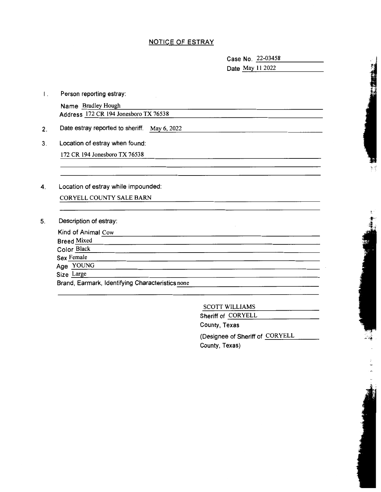## NOTICE OF ESTRAY

Case No. 22-03458 Case No. 22-03458<br>Date <u>May 11 2022</u>

I. Person reporting estray:

Name Bradley Hough Address 172 CR 194 Jonesboro TX 76538

- 2. Date estray reported to sheriff. May 6, 2022
- 3. Location of estray when found:

172 CR 194 Jonesboro TX 76538

4. Location of estray while impounded:

CORYELL COUNTY SALE BARN

5. Description of estray:

| Kind of Animal Cow<br><b>Breed Mixed</b>         |  |
|--------------------------------------------------|--|
| Color Black                                      |  |
| Sex Female                                       |  |
| Age YOUNG                                        |  |
| Size Large                                       |  |
| Brand, Earmark, Identifying Characteristics none |  |

### SCOTT WILLIAMS

Sheriff of CORYELL

County, Texas

(Designee of Sheriff of CORYELL County, Texas)